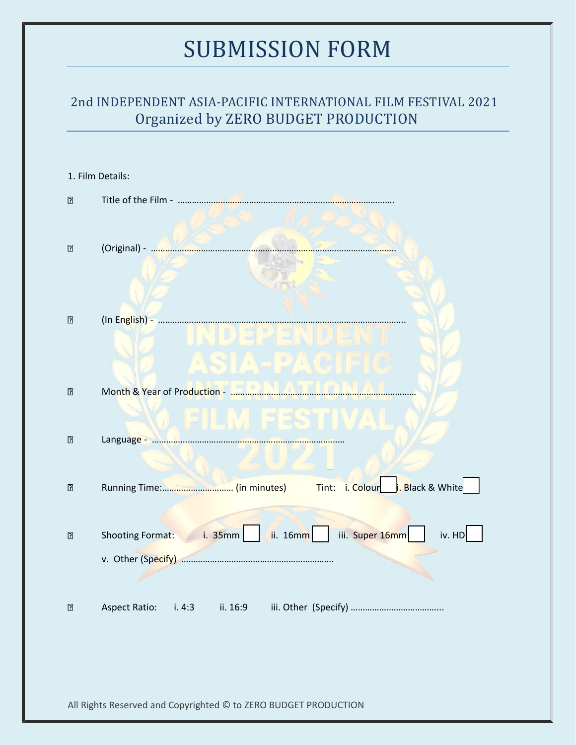### 2nd INDEPENDENT ASIA-PACIFIC INTERNATIONAL FILM FESTIVAL 2021 Organized by ZERO BUDGET PRODUCTION

| 1. Film Details:                                                |                                                                   |  |  |
|-----------------------------------------------------------------|-------------------------------------------------------------------|--|--|
| $\overline{2}$                                                  |                                                                   |  |  |
|                                                                 |                                                                   |  |  |
| $\overline{?}$                                                  |                                                                   |  |  |
|                                                                 |                                                                   |  |  |
|                                                                 |                                                                   |  |  |
| "                                                               |                                                                   |  |  |
|                                                                 | $\mathbb{S}[\mathbb{A}\text{-PAC}]$                               |  |  |
| $\boxed{?}$                                                     |                                                                   |  |  |
|                                                                 | ). FILM FESTIVA                                                   |  |  |
| $\overline{2}$                                                  |                                                                   |  |  |
|                                                                 |                                                                   |  |  |
| $\boxed{?}$                                                     |                                                                   |  |  |
|                                                                 |                                                                   |  |  |
| ⊡                                                               | Shooting Format: i. 35mm<br>iii. Super 16mm<br>ii. 16mm<br>iv. HD |  |  |
|                                                                 |                                                                   |  |  |
|                                                                 |                                                                   |  |  |
| $\overline{\mathbf{2}}$                                         | <b>Aspect Ratio:</b><br>i.4:3<br>ii. 16:9                         |  |  |
|                                                                 |                                                                   |  |  |
|                                                                 |                                                                   |  |  |
| All Rights Reserved and Copyrighted © to ZERO BUDGET PRODUCTION |                                                                   |  |  |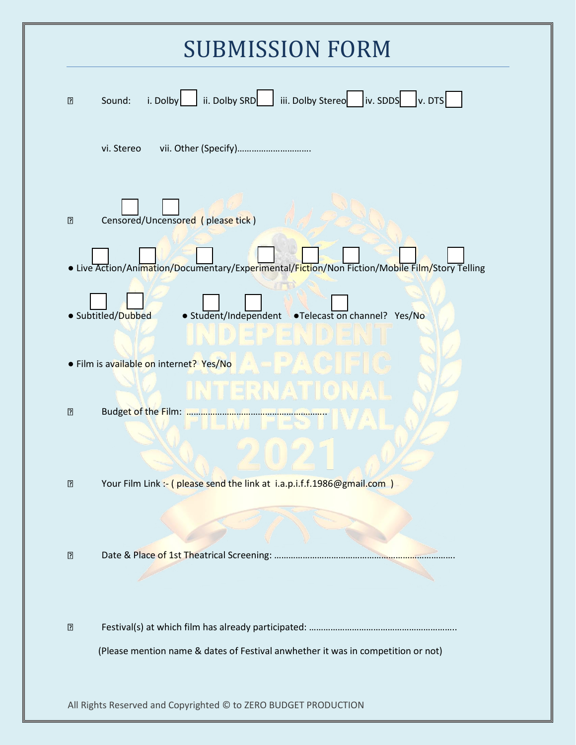| <b>SUBMISSION FORM</b> |                                                                                                |  |
|------------------------|------------------------------------------------------------------------------------------------|--|
| $\overline{?}$         | i. Dolby ii. Dolby SRD iii. Dolby Stereo iv. SDDS v. DTS<br>Sound:                             |  |
|                        | vii. Other (Specify)<br>vi. Stereo                                                             |  |
| $\sqrt{2}$             | Censored/Uncensored (please tick)                                                              |  |
|                        | • Live Action/Animation/Documentary/Experimental/Fiction/Non Fiction/Mobile Film/Story Telling |  |
|                        | • Student/Independent • Telecast on channel? Yes/No<br>· Subtitled/Dubbed                      |  |
|                        | $=$ $P/AC$<br>• Film is available on internet? Yes/No                                          |  |
| $\boxed{2}$            | INTERNATIONAL<br>Budget of the Film: Film Putton Communication                                 |  |
|                        |                                                                                                |  |
| $\boxed{2}$            | Your Film Link :- (please send the link at i.a.p.i.f.f.1986@gmail.com)                         |  |
|                        |                                                                                                |  |
| $\boxed{?}$            |                                                                                                |  |
| $\boxed{2}$            |                                                                                                |  |
|                        | (Please mention name & dates of Festival anwhether it was in competition or not)               |  |

All Rights Reserved and Copyrighted © to ZERO BUDGET PRODUCTION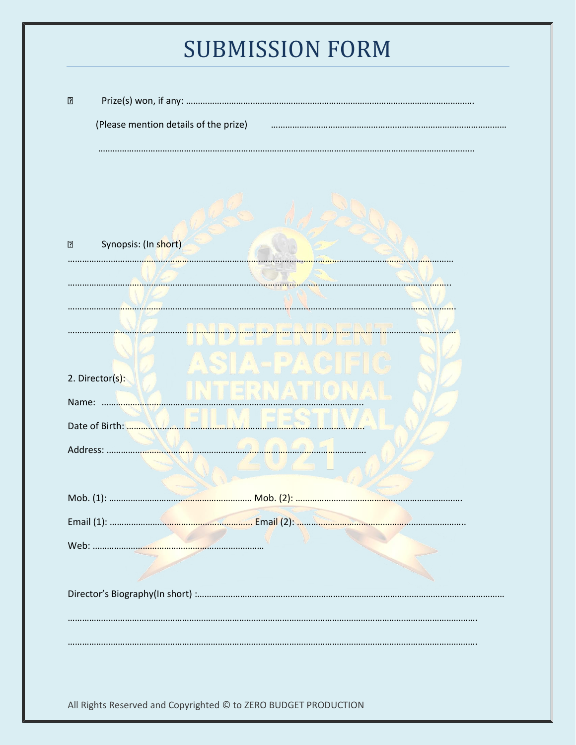| $\boxed{?}$ |                                                                 |
|-------------|-----------------------------------------------------------------|
|             | (Please mention details of the prize)                           |
|             |                                                                 |
|             |                                                                 |
|             |                                                                 |
| $\boxed{?}$ | Synopsis: (In short)                                            |
|             |                                                                 |
|             |                                                                 |
|             |                                                                 |
|             |                                                                 |
|             | 2. Director(s):                                                 |
| Name:       |                                                                 |
|             | Date of Birth:                                                  |
|             | Address:                                                        |
|             |                                                                 |
|             |                                                                 |
|             |                                                                 |
|             |                                                                 |
|             |                                                                 |
|             |                                                                 |
|             |                                                                 |
|             |                                                                 |
|             | All Rights Reserved and Copyrighted © to ZERO BUDGET PRODUCTION |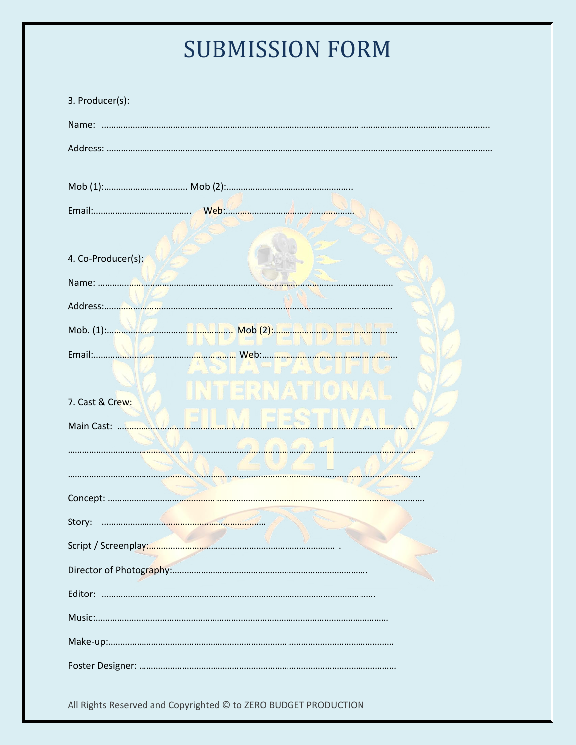| 3. Producer(s):                                                 |                      |  |  |  |  |
|-----------------------------------------------------------------|----------------------|--|--|--|--|
|                                                                 |                      |  |  |  |  |
|                                                                 |                      |  |  |  |  |
|                                                                 |                      |  |  |  |  |
|                                                                 |                      |  |  |  |  |
|                                                                 |                      |  |  |  |  |
|                                                                 |                      |  |  |  |  |
| 4. Co-Producer(s):                                              |                      |  |  |  |  |
|                                                                 |                      |  |  |  |  |
|                                                                 |                      |  |  |  |  |
|                                                                 |                      |  |  |  |  |
|                                                                 |                      |  |  |  |  |
|                                                                 | <b>NITERNATIONAL</b> |  |  |  |  |
| 7. Cast & Crew:                                                 |                      |  |  |  |  |
| Main Cast:                                                      |                      |  |  |  |  |
|                                                                 |                      |  |  |  |  |
|                                                                 |                      |  |  |  |  |
|                                                                 |                      |  |  |  |  |
|                                                                 |                      |  |  |  |  |
|                                                                 |                      |  |  |  |  |
|                                                                 |                      |  |  |  |  |
|                                                                 |                      |  |  |  |  |
|                                                                 |                      |  |  |  |  |
|                                                                 |                      |  |  |  |  |
|                                                                 |                      |  |  |  |  |
|                                                                 |                      |  |  |  |  |
| All Rights Reserved and Copyrighted © to ZERO BUDGET PRODUCTION |                      |  |  |  |  |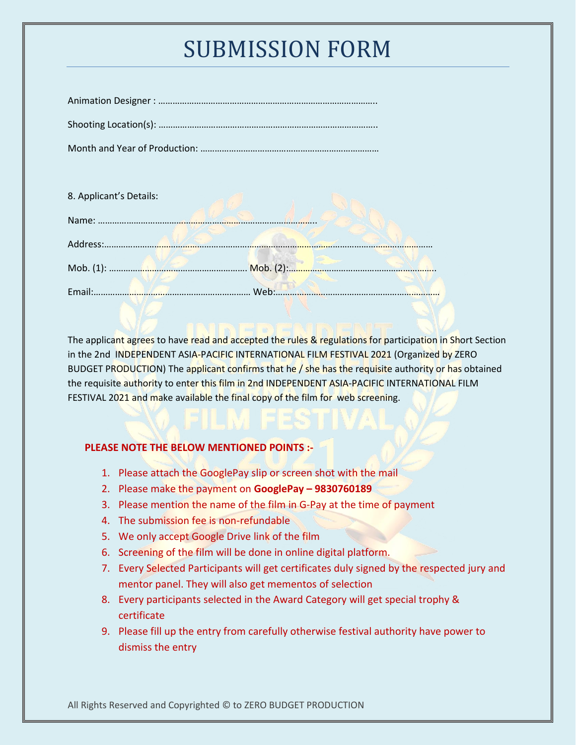| 8. Applicant's Details:                                                                                                     |         |
|-----------------------------------------------------------------------------------------------------------------------------|---------|
| Name:                                                                                                                       |         |
| Address:                                                                                                                    |         |
|                                                                                                                             |         |
| Email:<br>the state of the state of the state of the state of the state of the state of the state of the state of the state | $M$ eh' |

The applicant agrees to have read and accepted the rules & regulations for participation in Short Section in the 2nd INDEPENDENT ASIA-PACIFIC INTERNATIONAL FILM FESTIVAL 2021 (Organized by ZERO BUDGET PRODUCTION) The applicant confirms that he  $/$  she has the requisite authority or has obtained the requisite authority to enter this film in 2nd INDEPENDENT ASIA-PACIFIC INTERNATIONAL FILM FESTIVAL 2021 and make available the final copy of the film for web screening.

#### **PLEASE NOTE THE BELOW MENTIONED POINTS :-**

- 1. Please attach the GooglePay slip or screen shot with the mail
- 2. Please make the payment on **GooglePay – 9830760189**
- 3. Please mention the name of the film in G-Pay at the time of payment
- 4. The submission fee is non-refundable
- 5. We only accept Google Drive link of the film
- 6. Screening of the film will be done in online digital platform.
- 7. Every Selected Participants will get certificates duly signed by the respected jury and mentor panel. They will also get mementos of selection
- 8. Every participants selected in the Award Category will get special trophy & certificate
- 9. Please fill up the entry from carefully otherwise festival authority have power to dismiss the entry

All Rights Reserved and Copyrighted © to ZERO BUDGET PRODUCTION